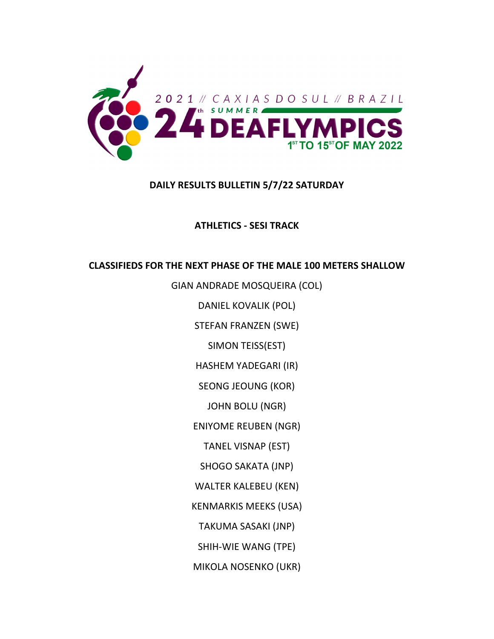

### **DAILY RESULTS BULLETIN 5/7/22 SATURDAY**

**ATHLETICS ‐ SESI TRACK**

### **CLASSIFIEDS FOR THE NEXT PHASE OF THE MALE 100 METERS SHALLOW**

GIAN ANDRADE MOSQUEIRA (COL)

DANIEL KOVALIK (POL)

STEFAN FRANZEN (SWE)

SIMON TEISS(EST)

HASHEM YADEGARI (IR)

SEONG JEOUNG (KOR)

JOHN BOLU (NGR)

ENIYOME REUBEN (NGR)

TANEL VISNAP (EST)

SHOGO SAKATA (JNP)

WALTER KALEBEU (KEN)

KENMARKIS MEEKS (USA)

TAKUMA SASAKI (JNP)

SHIH‐WIE WANG (TPE)

MIKOLA NOSENKO (UKR)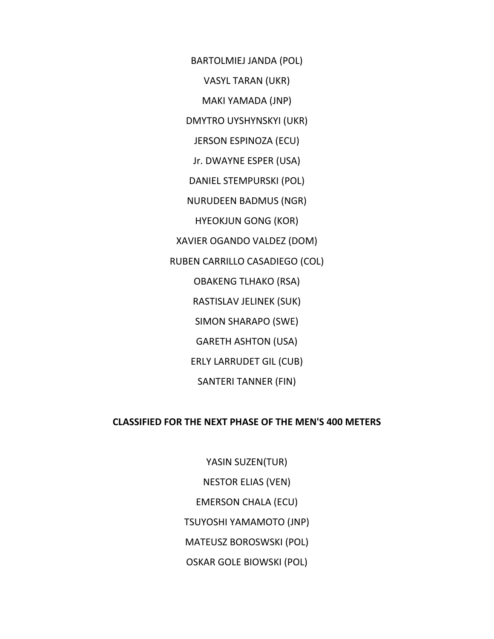BARTOLMIEJ JANDA (POL)

VASYL TARAN (UKR)

MAKI YAMADA (JNP)

DMYTRO UYSHYNSKYI (UKR)

JERSON ESPINOZA (ECU)

Jr. DWAYNE ESPER (USA)

DANIEL STEMPURSKI (POL)

NURUDEEN BADMUS (NGR)

HYEOKJUN GONG (KOR)

XAVIER OGANDO VALDEZ (DOM)

RUBEN CARRILLO CASADIEGO (COL)

OBAKENG TLHAKO (RSA)

RASTISLAV JELINEK (SUK)

SIMON SHARAPO (SWE)

GARETH ASHTON (USA)

ERLY LARRUDET GIL (CUB)

SANTERI TANNER (FIN)

#### **CLASSIFIED FOR THE NEXT PHASE OF THE MEN'S 400 METERS**

YASIN SUZEN(TUR) NESTOR ELIAS (VEN) EMERSON CHALA (ECU) TSUYOSHI YAMAMOTO (JNP) MATEUSZ BOROSWSKI (POL) OSKAR GOLE BIOWSKI (POL)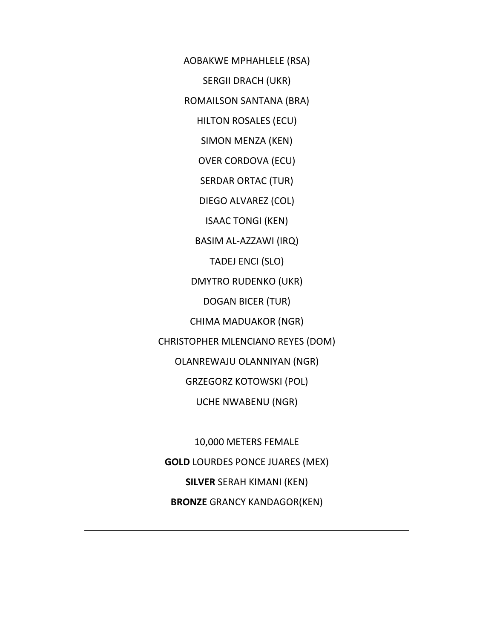AOBAKWE MPHAHLELE (RSA)

SERGII DRACH (UKR)

ROMAILSON SANTANA (BRA)

HILTON ROSALES (ECU)

SIMON MENZA (KEN)

OVER CORDOVA (ECU)

SERDAR ORTAC (TUR)

DIEGO ALVAREZ (COL)

ISAAC TONGI (KEN)

BASIM AL‐AZZAWI (IRQ)

TADEJ ENCI (SLO)

DMYTRO RUDENKO (UKR)

DOGAN BICER (TUR)

CHIMA MADUAKOR (NGR)

CHRISTOPHER MLENCIANO REYES (DOM)

OLANREWAJU OLANNIYAN (NGR)

GRZEGORZ KOTOWSKI (POL)

UCHE NWABENU (NGR)

10,000 METERS FEMALE **GOLD** LOURDES PONCE JUARES (MEX) **SILVER** SERAH KIMANI (KEN) **BRONZE** GRANCY KANDAGOR(KEN)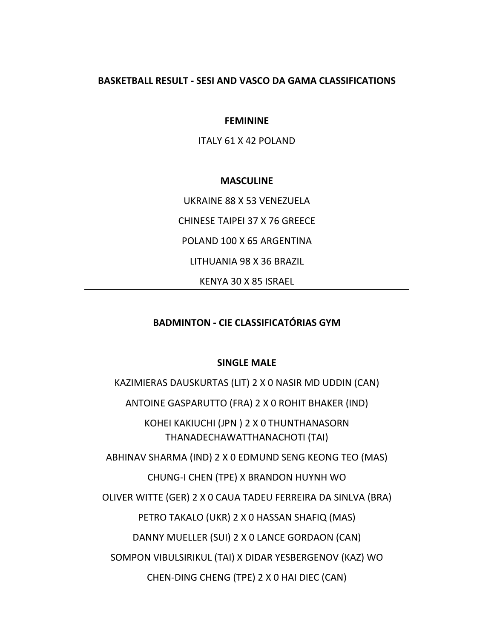#### **BASKETBALL RESULT ‐ SESI AND VASCO DA GAMA CLASSIFICATIONS**

**FEMININE**

ITALY 61 X 42 POLAND

#### **MASCULINE**

UKRAINE 88 X 53 VENEZUELA

CHINESE TAIPEI 37 X 76 GREECE

POLAND 100 X 65 ARGENTINA

LITHUANIA 98 X 36 BRAZIL

KENYA 30 X 85 ISRAEL

#### **BADMINTON ‐ CIE CLASSIFICATÓRIAS GYM**

#### **SINGLE MALE**

KAZIMIERAS DAUSKURTAS (LIT) 2 X 0 NASIR MD UDDIN (CAN) ANTOINE GASPARUTTO (FRA) 2 X 0 ROHIT BHAKER (IND) KOHEI KAKIUCHI (JPN ) 2 X 0 THUNTHANASORN THANADECHAWATTHANACHOTI (TAI) ABHINAV SHARMA (IND) 2 X 0 EDMUND SENG KEONG TEO (MAS) CHUNG‐I CHEN (TPE) X BRANDON HUYNH WO OLIVER WITTE (GER) 2 X 0 CAUA TADEU FERREIRA DA SINLVA (BRA) PETRO TAKALO (UKR) 2 X 0 HASSAN SHAFIQ (MAS) DANNY MUELLER (SUI) 2 X 0 LANCE GORDAON (CAN)

SOMPON VIBULSIRIKUL (TAI) X DIDAR YESBERGENOV (KAZ) WO

CHEN‐DING CHENG (TPE) 2 X 0 HAI DIEC (CAN)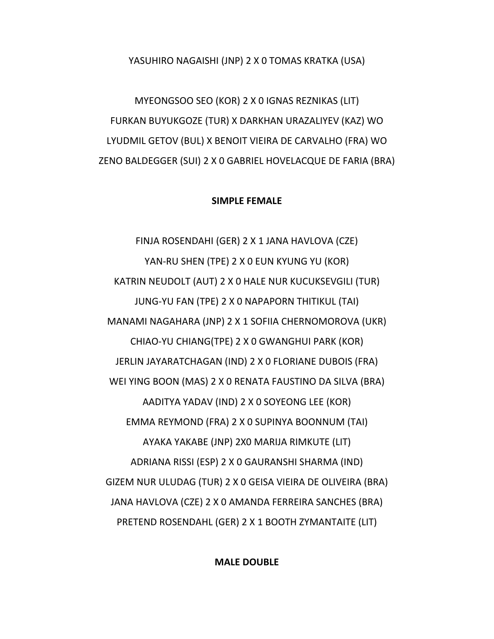#### YASUHIRO NAGAISHI (JNP) 2 X 0 TOMAS KRATKA (USA)

MYEONGSOO SEO (KOR) 2 X 0 IGNAS REZNIKAS (LIT) FURKAN BUYUKGOZE (TUR) X DARKHAN URAZALIYEV (KAZ) WO LYUDMIL GETOV (BUL) X BENOIT VIEIRA DE CARVALHO (FRA) WO ZENO BALDEGGER (SUI) 2 X 0 GABRIEL HOVELACQUE DE FARIA (BRA)

#### **SIMPLE FEMALE**

FINJA ROSENDAHI (GER) 2 X 1 JANA HAVLOVA (CZE) YAN‐RU SHEN (TPE) 2 X 0 EUN KYUNG YU (KOR) KATRIN NEUDOLT (AUT) 2 X 0 HALE NUR KUCUKSEVGILI (TUR) JUNG‐YU FAN (TPE) 2 X 0 NAPAPORN THITIKUL (TAI) MANAMI NAGAHARA (JNP) 2 X 1 SOFIIA CHERNOMOROVA (UKR) CHIAO‐YU CHIANG(TPE) 2 X 0 GWANGHUI PARK (KOR) JERLIN JAYARATCHAGAN (IND) 2 X 0 FLORIANE DUBOIS (FRA) WEI YING BOON (MAS) 2 X 0 RENATA FAUSTINO DA SILVA (BRA) AADITYA YADAV (IND) 2 X 0 SOYEONG LEE (KOR) EMMA REYMOND (FRA) 2 X 0 SUPINYA BOONNUM (TAI) AYAKA YAKABE (JNP) 2X0 MARIJA RIMKUTE (LIT) ADRIANA RISSI (ESP) 2 X 0 GAURANSHI SHARMA (IND) GIZEM NUR ULUDAG (TUR) 2 X 0 GEISA VIEIRA DE OLIVEIRA (BRA) JANA HAVLOVA (CZE) 2 X 0 AMANDA FERREIRA SANCHES (BRA) PRETEND ROSENDAHL (GER) 2 X 1 BOOTH ZYMANTAITE (LIT)

#### **MALE DOUBLE**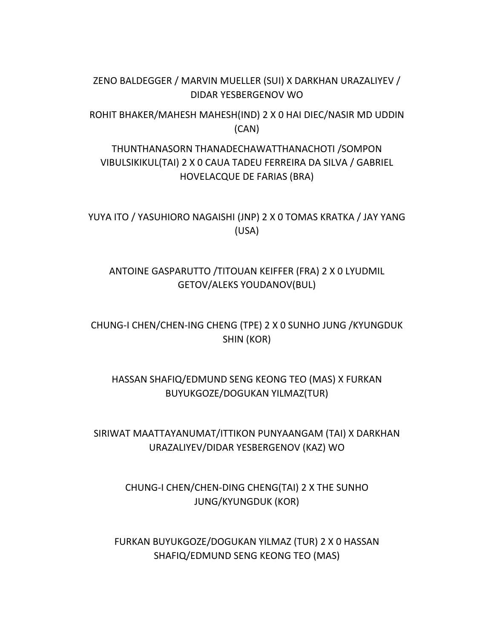### ZENO BALDEGGER / MARVIN MUELLER (SUI) X DARKHAN URAZALIYEV / DIDAR YESBERGENOV WO

ROHIT BHAKER/MAHESH MAHESH(IND) 2 X 0 HAI DIEC/NASIR MD UDDIN (CAN)

# THUNTHANASORN THANADECHAWATTHANACHOTI /SOMPON VIBULSIKIKUL(TAI) 2 X 0 CAUA TADEU FERREIRA DA SILVA / GABRIEL HOVELACQUE DE FARIAS (BRA)

YUYA ITO / YASUHIORO NAGAISHI (JNP) 2 X 0 TOMAS KRATKA / JAY YANG (USA)

## ANTOINE GASPARUTTO /TITOUAN KEIFFER (FRA) 2 X 0 LYUDMIL GETOV/ALEKS YOUDANOV(BUL)

CHUNG‐I CHEN/CHEN‐ING CHENG (TPE) 2 X 0 SUNHO JUNG /KYUNGDUK SHIN (KOR)

# HASSAN SHAFIQ/EDMUND SENG KEONG TEO (MAS) X FURKAN BUYUKGOZE/DOGUKAN YILMAZ(TUR)

SIRIWAT MAATTAYANUMAT/ITTIKON PUNYAANGAM (TAI) X DARKHAN URAZALIYEV/DIDAR YESBERGENOV (KAZ) WO

> CHUNG‐I CHEN/CHEN‐DING CHENG(TAI) 2 X THE SUNHO JUNG/KYUNGDUK (KOR)

FURKAN BUYUKGOZE/DOGUKAN YILMAZ (TUR) 2 X 0 HASSAN SHAFIQ/EDMUND SENG KEONG TEO (MAS)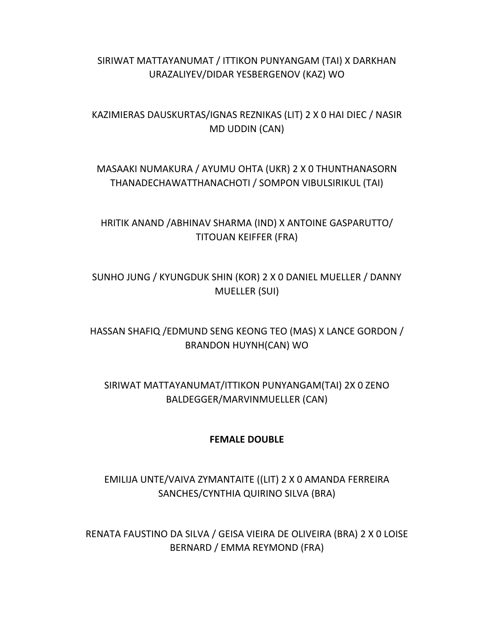## SIRIWAT MATTAYANUMAT / ITTIKON PUNYANGAM (TAI) X DARKHAN URAZALIYEV/DIDAR YESBERGENOV (KAZ) WO

KAZIMIERAS DAUSKURTAS/IGNAS REZNIKAS (LIT) 2 X 0 HAI DIEC / NASIR MD UDDIN (CAN)

# MASAAKI NUMAKURA / AYUMU OHTA (UKR) 2 X 0 THUNTHANASORN THANADECHAWATTHANACHOTI / SOMPON VIBULSIRIKUL (TAI)

HRITIK ANAND /ABHINAV SHARMA (IND) X ANTOINE GASPARUTTO/ TITOUAN KEIFFER (FRA)

SUNHO JUNG / KYUNGDUK SHIN (KOR) 2 X 0 DANIEL MUELLER / DANNY MUELLER (SUI)

HASSAN SHAFIQ /EDMUND SENG KEONG TEO (MAS) X LANCE GORDON / BRANDON HUYNH(CAN) WO

SIRIWAT MATTAYANUMAT/ITTIKON PUNYANGAM(TAI) 2X 0 ZENO BALDEGGER/MARVINMUELLER (CAN)

#### **FEMALE DOUBLE**

EMILIJA UNTE/VAIVA ZYMANTAITE ((LIT) 2 X 0 AMANDA FERREIRA SANCHES/CYNTHIA QUIRINO SILVA (BRA)

RENATA FAUSTINO DA SILVA / GEISA VIEIRA DE OLIVEIRA (BRA) 2 X 0 LOISE BERNARD / EMMA REYMOND (FRA)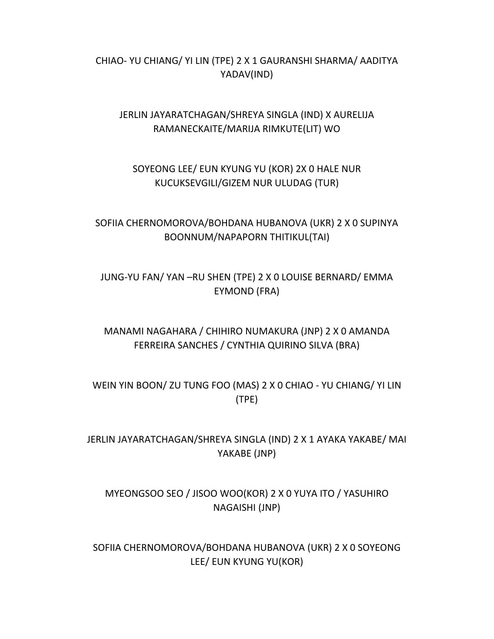## CHIAO‐ YU CHIANG/ YI LIN (TPE) 2 X 1 GAURANSHI SHARMA/ AADITYA YADAV(IND)

## JERLIN JAYARATCHAGAN/SHREYA SINGLA (IND) X AURELIJA RAMANECKAITE/MARIJA RIMKUTE(LIT) WO

# SOYEONG LEE/ EUN KYUNG YU (KOR) 2X 0 HALE NUR KUCUKSEVGILI/GIZEM NUR ULUDAG (TUR)

## SOFIIA CHERNOMOROVA/BOHDANA HUBANOVA (UKR) 2 X 0 SUPINYA BOONNUM/NAPAPORN THITIKUL(TAI)

## JUNG‐YU FAN/ YAN –RU SHEN (TPE) 2 X 0 LOUISE BERNARD/ EMMA EYMOND (FRA)

# MANAMI NAGAHARA / CHIHIRO NUMAKURA (JNP) 2 X 0 AMANDA FERREIRA SANCHES / CYNTHIA QUIRINO SILVA (BRA)

WEIN YIN BOON/ ZU TUNG FOO (MAS) 2 X 0 CHIAO ‐ YU CHIANG/ YI LIN (TPE)

JERLIN JAYARATCHAGAN/SHREYA SINGLA (IND) 2 X 1 AYAKA YAKABE/ MAI YAKABE (JNP)

# MYEONGSOO SEO / JISOO WOO(KOR) 2 X 0 YUYA ITO / YASUHIRO NAGAISHI (JNP)

SOFIIA CHERNOMOROVA/BOHDANA HUBANOVA (UKR) 2 X 0 SOYEONG LEE/ EUN KYUNG YU(KOR)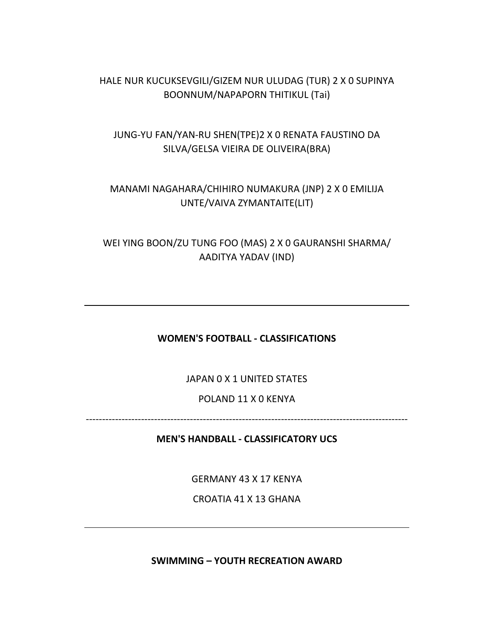### HALE NUR KUCUKSEVGILI/GIZEM NUR ULUDAG (TUR) 2 X 0 SUPINYA BOONNUM/NAPAPORN THITIKUL (Tai)

## JUNG‐YU FAN/YAN‐RU SHEN(TPE)2 X 0 RENATA FAUSTINO DA SILVA/GELSA VIEIRA DE OLIVEIRA(BRA)

# MANAMI NAGAHARA/CHIHIRO NUMAKURA (JNP) 2 X 0 EMILIJA UNTE/VAIVA ZYMANTAITE(LIT)

WEI YING BOON/ZU TUNG FOO (MAS) 2 X 0 GAURANSHI SHARMA/ AADITYA YADAV (IND)

**WOMEN'S FOOTBALL ‐ CLASSIFICATIONS**

JAPAN 0 X 1 UNITED STATES

POLAND 11 X 0 KENYA

‐‐‐‐‐‐‐‐‐‐‐‐‐‐‐‐‐‐‐‐‐‐‐‐‐‐‐‐‐‐‐‐‐‐‐‐‐‐‐‐‐‐‐‐‐‐‐‐‐‐‐‐‐‐‐‐‐‐‐‐‐‐‐‐‐‐‐‐‐‐‐‐‐‐‐‐‐‐‐‐‐‐‐‐‐‐‐‐‐‐‐‐‐‐‐‐‐‐‐

**MEN'S HANDBALL ‐ CLASSIFICATORY UCS**

GERMANY 43 X 17 KENYA

CROATIA 41 X 13 GHANA

**SWIMMING – YOUTH RECREATION AWARD**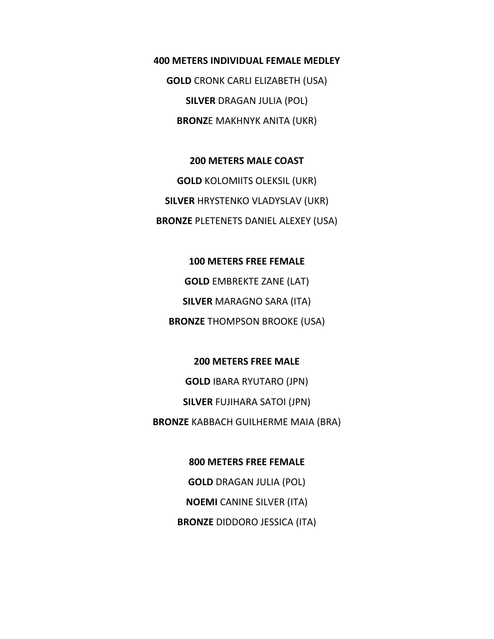**400 METERS INDIVIDUAL FEMALE MEDLEY GOLD** CRONK CARLI ELIZABETH (USA) **SILVER** DRAGAN JULIA (POL) **BRONZ**E MAKHNYK ANITA (UKR)

**200 METERS MALE COAST GOLD** KOLOMIITS OLEKSIL (UKR) **SILVER** HRYSTENKO VLADYSLAV (UKR) **BRONZE** PLETENETS DANIEL ALEXEY (USA)

**100 METERS FREE FEMALE GOLD** EMBREKTE ZANE (LAT) **SILVER** MARAGNO SARA (ITA) **BRONZE** THOMPSON BROOKE (USA)

**200 METERS FREE MALE GOLD** IBARA RYUTARO (JPN) **SILVER** FUJIHARA SATOI (JPN) **BRONZE** KABBACH GUILHERME MAIA (BRA)

> **800 METERS FREE FEMALE GOLD** DRAGAN JULIA (POL) **NOEMI** CANINE SILVER (ITA) **BRONZE** DIDDORO JESSICA (ITA)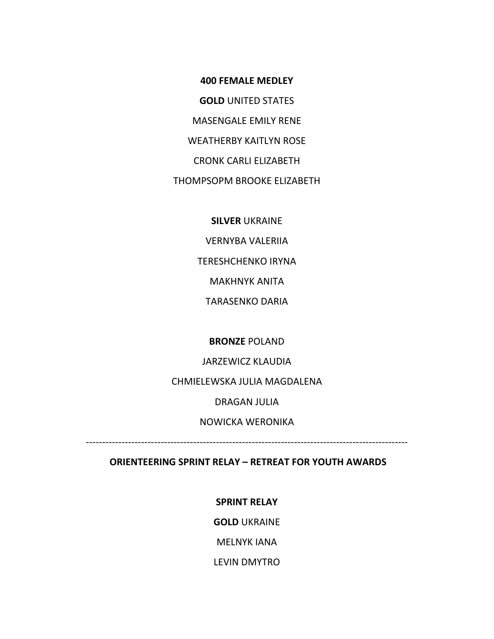**400 FEMALE MEDLEY GOLD** UNITED STATES MASENGALE EMILY RENE WEATHERBY KAITLYN ROSE CRONK CARLI ELIZABETH THOMPSOPM BROOKE ELIZABETH

**SILVER** UKRAINE

VERNYBA VALERIIA TERESHCHENKO IRYNA MAKHNYK ANITA TARASENKO DARIA

**BRONZE** POLAND

JARZEWICZ KLAUDIA

CHMIELEWSKA JULIA MAGDALENA

DRAGAN JULIA

NOWICKA WERONIKA

‐‐‐‐‐‐‐‐‐‐‐‐‐‐‐‐‐‐‐‐‐‐‐‐‐‐‐‐‐‐‐‐‐‐‐‐‐‐‐‐‐‐‐‐‐‐‐‐‐‐‐‐‐‐‐‐‐‐‐‐‐‐‐‐‐‐‐‐‐‐‐‐‐‐‐‐‐‐‐‐‐‐‐‐‐‐‐‐‐‐‐‐‐‐‐‐‐‐‐

**ORIENTEERING SPRINT RELAY – RETREAT FOR YOUTH AWARDS**

**SPRINT RELAY**

**GOLD** UKRAINE

MELNYK IANA

LEVIN DMYTRO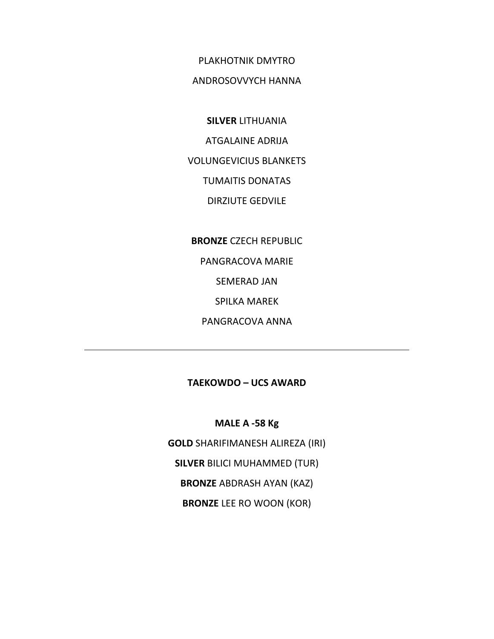PLAKHOTNIK DMYTRO

#### ANDROSOVVYCH HANNA

**SILVER** LITHUANIA ATGALAINE ADRIJA VOLUNGEVICIUS BLANKETS TUMAITIS DONATAS DIRZIUTE GEDVILE

**BRONZE** CZECH REPUBLIC

PANGRACOVA MARIE

SEMERAD JAN

SPILKA MAREK

PANGRACOVA ANNA

#### **TAEKOWDO – UCS AWARD**

**MALE A ‐58 Kg**

**GOLD** SHARIFIMANESH ALIREZA (IRI)

**SILVER** BILICI MUHAMMED (TUR)

**BRONZE** ABDRASH AYAN (KAZ)

**BRONZE** LEE RO WOON (KOR)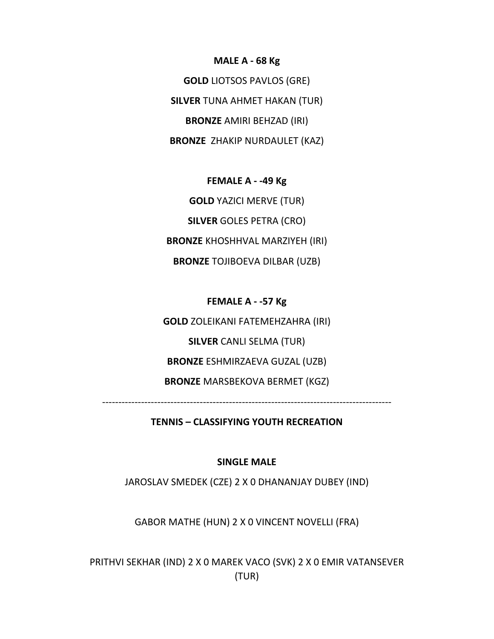**MALE A ‐ 68 Kg**

**GOLD** LIOTSOS PAVLOS (GRE) **SILVER** TUNA AHMET HAKAN (TUR) **BRONZE** AMIRI BEHZAD (IRI) **BRONZE** ZHAKIP NURDAULET (KAZ)

**FEMALE A ‐ ‐49 Kg GOLD** YAZICI MERVE (TUR) **SILVER** GOLES PETRA (CRO) **BRONZE** KHOSHHVAL MARZIYEH (IRI) **BRONZE** TOJIBOEVA DILBAR (UZB)

**FEMALE A ‐ ‐57 Kg GOLD** ZOLEIKANI FATEMEHZAHRA (IRI) **SILVER** CANLI SELMA (TUR) **BRONZE** ESHMIRZAEVA GUZAL (UZB) **BRONZE** MARSBEKOVA BERMET (KGZ)

‐‐‐‐‐‐‐‐‐‐‐‐‐‐‐‐‐‐‐‐‐‐‐‐‐‐‐‐‐‐‐‐‐‐‐‐‐‐‐‐‐‐‐‐‐‐‐‐‐‐‐‐‐‐‐‐‐‐‐‐‐‐‐‐‐‐‐‐‐‐‐‐‐‐‐‐‐‐‐‐‐‐‐‐‐‐‐‐‐

**TENNIS – CLASSIFYING YOUTH RECREATION**

#### **SINGLE MALE**

JAROSLAV SMEDEK (CZE) 2 X 0 DHANANJAY DUBEY (IND)

GABOR MATHE (HUN) 2 X 0 VINCENT NOVELLI (FRA)

PRITHVI SEKHAR (IND) 2 X 0 MAREK VACO (SVK) 2 X 0 EMIR VATANSEVER (TUR)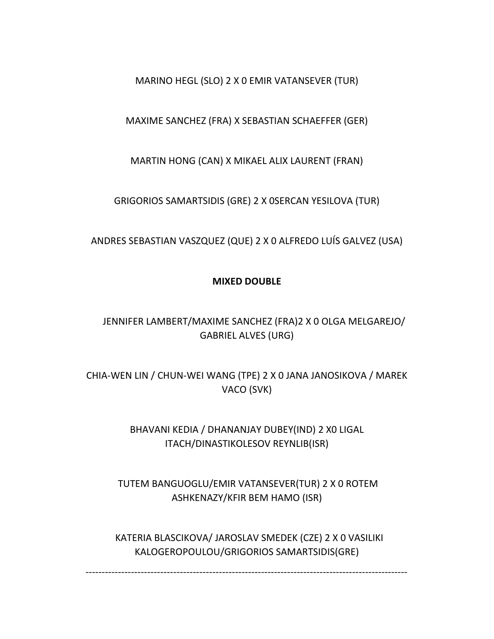### MARINO HEGL (SLO) 2 X 0 EMIR VATANSEVER (TUR)

### MAXIME SANCHEZ (FRA) X SEBASTIAN SCHAEFFER (GER)

MARTIN HONG (CAN) X MIKAEL ALIX LAURENT (FRAN)

GRIGORIOS SAMARTSIDIS (GRE) 2 X 0SERCAN YESILOVA (TUR)

ANDRES SEBASTIAN VASZQUEZ (QUE) 2 X 0 ALFREDO LUÍS GALVEZ (USA)

### **MIXED DOUBLE**

# JENNIFER LAMBERT/MAXIME SANCHEZ (FRA)2 X 0 OLGA MELGAREJO/ GABRIEL ALVES (URG)

CHIA‐WEN LIN / CHUN‐WEI WANG (TPE) 2 X 0 JANA JANOSIKOVA / MAREK VACO (SVK)

> BHAVANI KEDIA / DHANANJAY DUBEY(IND) 2 X0 LIGAL ITACH/DINASTIKOLESOV REYNLIB(ISR)

TUTEM BANGUOGLU/EMIR VATANSEVER(TUR) 2 X 0 ROTEM ASHKENAZY/KFIR BEM HAMO (ISR)

 KATERIA BLASCIKOVA/ JAROSLAV SMEDEK (CZE) 2 X 0 VASILIKI KALOGEROPOULOU/GRIGORIOS SAMARTSIDIS(GRE)

‐‐‐‐‐‐‐‐‐‐‐‐‐‐‐‐‐‐‐‐‐‐‐‐‐‐‐‐‐‐‐‐‐‐‐‐‐‐‐‐‐‐‐‐‐‐‐‐‐‐‐‐‐‐‐‐‐‐‐‐‐‐‐‐‐‐‐‐‐‐‐‐‐‐‐‐‐‐‐‐‐‐‐‐‐‐‐‐‐‐‐‐‐‐‐‐‐‐‐